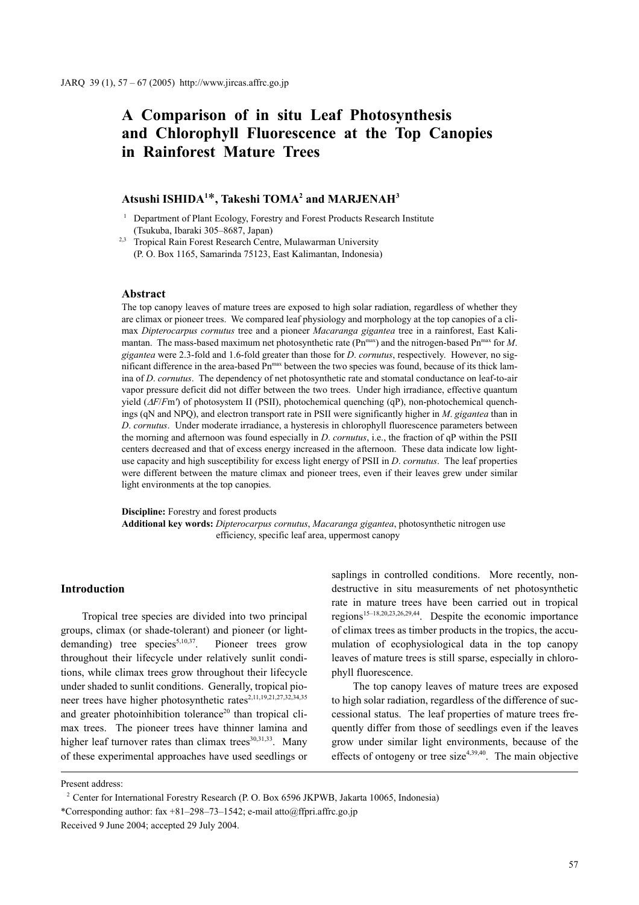# **A Comparison of in situ Leaf Photosynthesis and Chlorophyll Fluorescence at the Top Canopies in Rainforest Mature Trees**

## $\boldsymbol{\Lambda}$ tsushi ISHIDA<sup>1\*</sup>, Takeshi TOMA<sup>2</sup> and MARJENAH<sup>3</sup>

<sup>1</sup> Department of Plant Ecology, Forestry and Forest Products Research Institute (Tsukuba, Ibaraki 305–8687, Japan)

<sup>2,3</sup> Tropical Rain Forest Research Centre, Mulawarman University (P. O. Box 1165, Samarinda 75123, East Kalimantan, Indonesia)

#### **Abstract**

The top canopy leaves of mature trees are exposed to high solar radiation, regardless of whether they are climax or pioneer trees. We compared leaf physiology and morphology at the top canopies of a climax *Dipterocarpus cornutus* tree and a pioneer *Macaranga gigantea* tree in a rainforest, East Kalimantan. The mass-based maximum net photosynthetic rate (Pn<sup>max</sup>) and the nitrogen-based Pn<sup>max</sup> for M. *gigantea* were 2.3-fold and 1.6-fold greater than those for *D*. *cornutus*, respectively. However, no significant difference in the area-based Pn<sup>max</sup> between the two species was found, because of its thick lamina of *D*. *cornutus*. The dependency of net photosynthetic rate and stomatal conductance on leaf-to-air vapor pressure deficit did not differ between the two trees. Under high irradiance, effective quantum yield (∆*F*/*F*m*'*) of photosystem II (PSII), photochemical quenching (qP), non-photochemical quenchings (qN and NPQ), and electron transport rate in PSII were significantly higher in *M*. *gigantea* than in *D*. *cornutus*. Under moderate irradiance, a hysteresis in chlorophyll fluorescence parameters between the morning and afternoon was found especially in *D*. *cornutus*, i.e., the fraction of qP within the PSII centers decreased and that of excess energy increased in the afternoon. These data indicate low lightuse capacity and high susceptibility for excess light energy of PSII in *D*. *cornutus*. The leaf properties were different between the mature climax and pioneer trees, even if their leaves grew under similar light environments at the top canopies.

**Discipline:** Forestry and forest products **Additional key words:** *Dipterocarpus cornutus*, *Macaranga gigantea*, photosynthetic nitrogen use efficiency, specific leaf area, uppermost canopy

## **Introduction**

Tropical tree species are divided into two principal groups, climax (or shade-tolerant) and pioneer (or lightdemanding) tree species<sup>5,10,37</sup>. Pioneer trees grow throughout their lifecycle under relatively sunlit conditions, while climax trees grow throughout their lifecycle under shaded to sunlit conditions. Generally, tropical pioneer trees have higher photosynthetic rates<sup>2,11,19,21,27,32,34,35</sup> and greater photoinhibition tolerance<sup>20</sup> than tropical climax trees. The pioneer trees have thinner lamina and higher leaf turnover rates than climax trees $30,31,33$ . Many of these experimental approaches have used seedlings or saplings in controlled conditions. More recently, nondestructive in situ measurements of net photosynthetic rate in mature trees have been carried out in tropical regions15–18,20,23,26,29,44. Despite the economic importance of climax trees as timber products in the tropics, the accumulation of ecophysiological data in the top canopy leaves of mature trees is still sparse, especially in chlorophyll fluorescence.

The top canopy leaves of mature trees are exposed to high solar radiation, regardless of the difference of successional status. The leaf properties of mature trees frequently differ from those of seedlings even if the leaves grow under similar light environments, because of the effects of ontogeny or tree size<sup>4,39,40</sup>. The main objective

Present address:

<sup>&</sup>lt;sup>2</sup> Center for International Forestry Research (P. O. Box 6596 JKPWB, Jakarta 10065, Indonesia)

<sup>\*</sup>Corresponding author:  $\frac{298-73-1542}{e}$ ; e-mail atto@ffpri.affrc.go.jp

Received 9 June 2004; accepted 29 July 2004.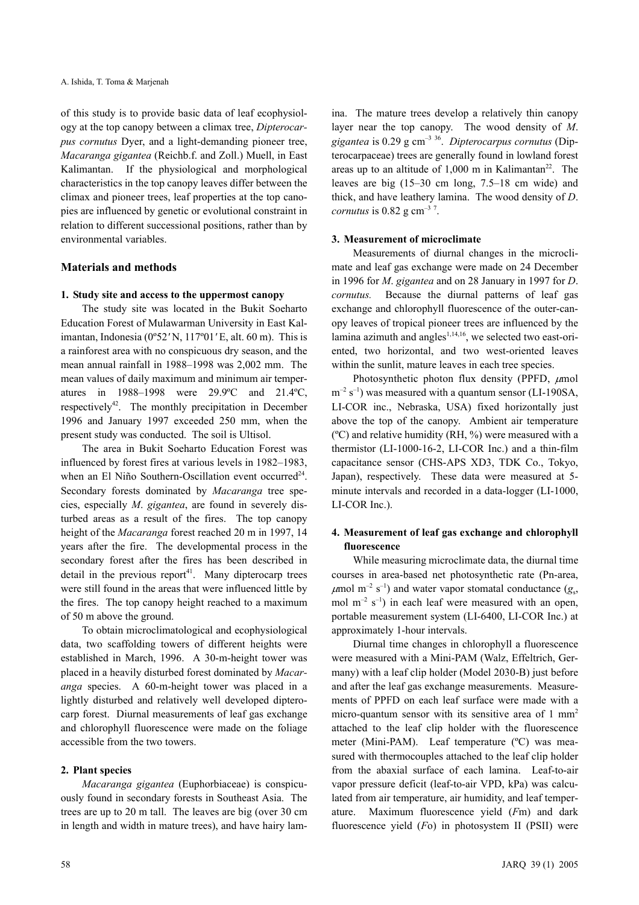of this study is to provide basic data of leaf ecophysiology at the top canopy between a climax tree, *Dipterocarpus cornutus* Dyer, and a light-demanding pioneer tree, *Macaranga gigantea* (Reichb.f. and Zoll.) Muell, in East Kalimantan. If the physiological and morphological characteristics in the top canopy leaves differ between the climax and pioneer trees, leaf properties at the top canopies are influenced by genetic or evolutional constraint in relation to different successional positions, rather than by environmental variables.

## **Materials and methods**

## **1. Study site and access to the uppermost canopy**

The study site was located in the Bukit Soeharto Education Forest of Mulawarman University in East Kalimantan, Indonesia (0º52*'* N, 117º01*'* E, alt. 60 m). This is a rainforest area with no conspicuous dry season, and the mean annual rainfall in 1988–1998 was 2,002 mm. The mean values of daily maximum and minimum air temperatures in 1988–1998 were 29.9ºC and 21.4ºC, respectively<sup>42</sup>. The monthly precipitation in December 1996 and January 1997 exceeded 250 mm, when the present study was conducted. The soil is Ultisol.

The area in Bukit Soeharto Education Forest was influenced by forest fires at various levels in 1982–1983, when an El Niño Southern-Oscillation event occurred<sup>24</sup>. Secondary forests dominated by *Macaranga* tree species, especially *M*. *gigantea*, are found in severely disturbed areas as a result of the fires. The top canopy height of the *Macaranga* forest reached 20 m in 1997, 14 years after the fire. The developmental process in the secondary forest after the fires has been described in detail in the previous report<sup>41</sup>. Many dipterocarp trees were still found in the areas that were influenced little by the fires. The top canopy height reached to a maximum of 50 m above the ground.

To obtain microclimatological and ecophysiological data, two scaffolding towers of different heights were established in March, 1996. A 30-m-height tower was placed in a heavily disturbed forest dominated by *Macaranga* species. A 60-m-height tower was placed in a lightly disturbed and relatively well developed dipterocarp forest. Diurnal measurements of leaf gas exchange and chlorophyll fluorescence were made on the foliage accessible from the two towers.

## **2. Plant species**

*Macaranga gigantea* (Euphorbiaceae) is conspicuously found in secondary forests in Southeast Asia. The trees are up to 20 m tall. The leaves are big (over 30 cm in length and width in mature trees), and have hairy lamina. The mature trees develop a relatively thin canopy layer near the top canopy. The wood density of *M*. *gigantea* is 0.29 g cm–3 36. *Dipterocarpus cornutus* (Dipterocarpaceae) trees are generally found in lowland forest areas up to an altitude of  $1,000$  m in Kalimantan<sup>22</sup>. The leaves are big (15–30 cm long, 7.5–18 cm wide) and thick, and have leathery lamina. The wood density of *D*. *cornutus* is  $0.82$  g cm<sup>-3 7</sup>.

## **3. Measurement of microclimate**

Measurements of diurnal changes in the microclimate and leaf gas exchange were made on 24 December in 1996 for *M*. *gigantea* and on 28 January in 1997 for *D*. *cornutus.* Because the diurnal patterns of leaf gas exchange and chlorophyll fluorescence of the outer-canopy leaves of tropical pioneer trees are influenced by the lamina azimuth and angles $1,14,16$ , we selected two east-oriented, two horizontal, and two west-oriented leaves within the sunlit, mature leaves in each tree species.

Photosynthetic photon flux density (PPFD,  $\mu$ mol  $m^{-2}$  s<sup>-1</sup>) was measured with a quantum sensor (LI-190SA, LI-COR inc., Nebraska, USA) fixed horizontally just above the top of the canopy. Ambient air temperature  $({}^{\circ}C)$  and relative humidity (RH,  $\%$ ) were measured with a thermistor (LI-1000-16-2, LI-COR Inc.) and a thin-film capacitance sensor (CHS-APS XD3, TDK Co., Tokyo, Japan), respectively. These data were measured at 5 minute intervals and recorded in a data-logger (LI-1000, LI-COR Inc.).

## **4. Measurement of leaf gas exchange and chlorophyll fluorescence**

While measuring microclimate data, the diurnal time courses in area-based net photosynthetic rate (Pn-area,  $\mu$ mol m<sup>-2</sup> s<sup>-1</sup>) and water vapor stomatal conductance ( $g_s$ , mol  $m^{-2}$  s<sup>-1</sup>) in each leaf were measured with an open, portable measurement system (LI-6400, LI-COR Inc.) at approximately 1-hour intervals.

Diurnal time changes in chlorophyll a fluorescence were measured with a Mini-PAM (Walz, Effeltrich, Germany) with a leaf clip holder (Model 2030-B) just before and after the leaf gas exchange measurements. Measurements of PPFD on each leaf surface were made with a micro-quantum sensor with its sensitive area of  $1 \text{ mm}^2$ attached to the leaf clip holder with the fluorescence meter (Mini-PAM). Leaf temperature (ºC) was measured with thermocouples attached to the leaf clip holder from the abaxial surface of each lamina. Leaf-to-air vapor pressure deficit (leaf-to-air VPD, kPa) was calculated from air temperature, air humidity, and leaf temperature. Maximum fluorescence yield (*F*m) and dark fluorescence yield (*F*o) in photosystem II (PSII) were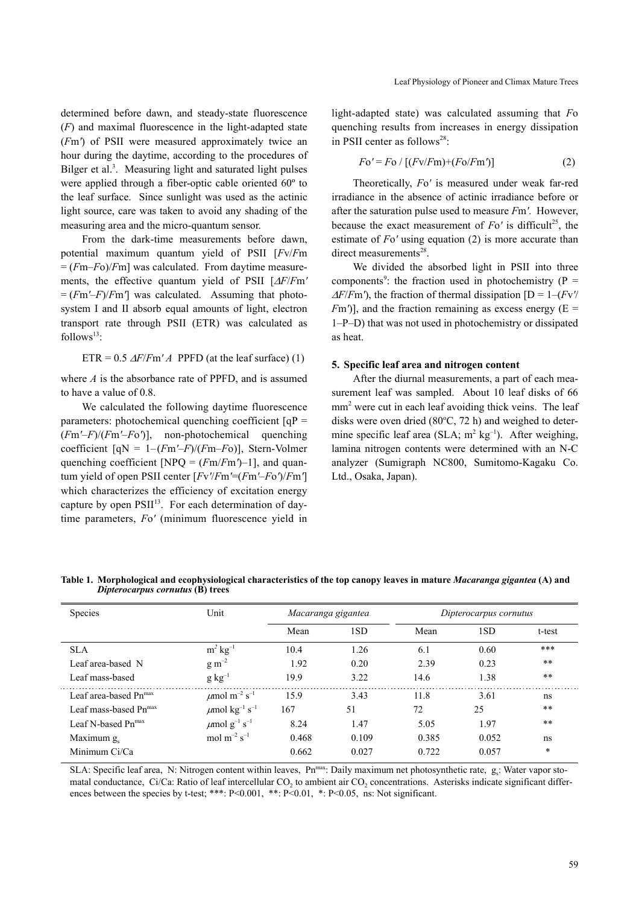determined before dawn, and steady-state fluorescence (*F*) and maximal fluorescence in the light-adapted state (*F*m*'*) of PSII were measured approximately twice an hour during the daytime, according to the procedures of Bilger et al.<sup>3</sup>. Measuring light and saturated light pulses were applied through a fiber-optic cable oriented 60º to the leaf surface. Since sunlight was used as the actinic light source, care was taken to avoid any shading of the measuring area and the micro-quantum sensor.

From the dark-time measurements before dawn, potential maximum quantum yield of PSII [*F*v/*F*m  $=$   $(Fm-Fo)/Fm$ ] was calculated. From daytime measurements, the effective quantum yield of PSII [∆*F*/*F*m*'*  $=$   $(Fm' – F)/Fm'$  was calculated. Assuming that photosystem I and II absorb equal amounts of light, electron transport rate through PSII (ETR) was calculated as  $follows<sup>13</sup>$ 

ETR = 0.5 
$$
\Delta F/Fm'A
$$
 PPFD (at the leaf surface) (1)

where *A* is the absorbance rate of PPFD, and is assumed to have a value of 0.8.

We calculated the following daytime fluorescence parameters: photochemical quenching coefficient  $[qP]$ (*F*m*'*–*F*)/(*F*m*'*–*F*o*'*)], non-photochemical quenching coefficient [qN = 1–(*F*m*'*–*F*)/(*F*m–*F*o)], Stern-Volmer quenching coefficient [NPQ = (*F*m/*F*m*'*)–1], and quantum yield of open PSII center [*F*v*'*/*F*m*'*=(*F*m*'*–*F*o*'*)/*F*m*'*] which characterizes the efficiency of excitation energy capture by open  $PSII<sup>13</sup>$ . For each determination of daytime parameters, *F*o*'* (minimum fluorescence yield in light-adapted state) was calculated assuming that *F*o quenching results from increases in energy dissipation in PSII center as follows<sup>28</sup>:

$$
Fo' = Fo / [(Fv/Fm) + (Fo/Fm')] \tag{2}
$$

Theoretically, *F*o*'* is measured under weak far-red irradiance in the absence of actinic irradiance before or after the saturation pulse used to measure *F*m*'*. However, because the exact measurement of  $F_0$ <sup>*'*</sup> is difficult<sup>25</sup>, the estimate of *F*o*'* using equation (2) is more accurate than direct measurements<sup>28</sup>.

We divided the absorbed light in PSII into three components<sup>9</sup>: the fraction used in photochemistry ( $P =$  $\Delta F/Fm'$ , the fraction of thermal dissipation  $[D = 1 - (Fv')$  $F<sup>m</sup>$ )], and the fraction remaining as excess energy ( $E =$ 1–P–D) that was not used in photochemistry or dissipated as heat.

#### **5. Specific leaf area and nitrogen content**

After the diurnal measurements, a part of each measurement leaf was sampled. About 10 leaf disks of 66 mm<sup>2</sup> were cut in each leaf avoiding thick veins. The leaf disks were oven dried  $(80^{\circ}C, 72 h)$  and weighed to determine specific leaf area (SLA;  $m^2$  kg<sup>-1</sup>). After weighing, lamina nitrogen contents were determined with an N-C analyzer (Sumigraph NC800, Sumitomo-Kagaku Co. Ltd., Osaka, Japan).

**Table 1. Morphological and ecophysiological characteristics of the top canopy leaves in mature** *Macaranga gigantea* **(A) and**  *Dipterocarpus cornutus* **(B) trees**

| Species                           | Unit                                       | Macaranga gigantea |       | Dipterocarpus cornutus |       |        |
|-----------------------------------|--------------------------------------------|--------------------|-------|------------------------|-------|--------|
|                                   |                                            | Mean               | 1SD   | Mean                   | 1SD   | t-test |
| <b>SLA</b>                        | $m^2$ kg <sup>-1</sup>                     | 10.4               | 1.26  | 6.1                    | 0.60  | ***    |
| Leaf area-based N                 | $\rm g~m^{-2}$                             | 1.92               | 0.20  | 2.39                   | 0.23  | $**$   |
| Leaf mass-based                   | $g kg^{-1}$                                | 19.9               | 3.22  | 14.6                   | 1.38  | $**$   |
| Leaf area-based Pn <sup>max</sup> | $\mu$ mol m <sup>-2</sup> s <sup>-1</sup>  | 15.9               | 3.43  | 11.8                   | 3.61  | ns     |
| Leaf mass-based Pn <sup>max</sup> | $\mu$ mol kg <sup>-1</sup> s <sup>-1</sup> | 167                | 51    | 72                     | 25    | $**$   |
| Leaf N-based Pn <sup>max</sup>    | $\mu$ mol g <sup>-1</sup> s <sup>-1</sup>  | 8.24               | 1.47  | 5.05                   | 1.97  | $**$   |
| Maximum $g_{s}$                   | mol $m^{-2}$ s <sup>-1</sup>               | 0.468              | 0.109 | 0.385                  | 0.052 | ns     |
| Minimum Ci/Ca                     |                                            | 0.662              | 0.027 | 0.722                  | 0.057 | $\ast$ |

SLA: Specific leaf area, N: Nitrogen content within leaves, Pn<sup>max</sup>: Daily maximum net photosynthetic rate, g<sub>s</sub>: Water vapor stomatal conductance, Ci/Ca: Ratio of leaf intercellular CO<sub>2</sub> to ambient air CO<sub>2</sub> concentrations. Asterisks indicate significant differences between the species by t-test; \*\*\*: P<0.001, \*\*: P<0.01, \*: P<0.05, ns: Not significant.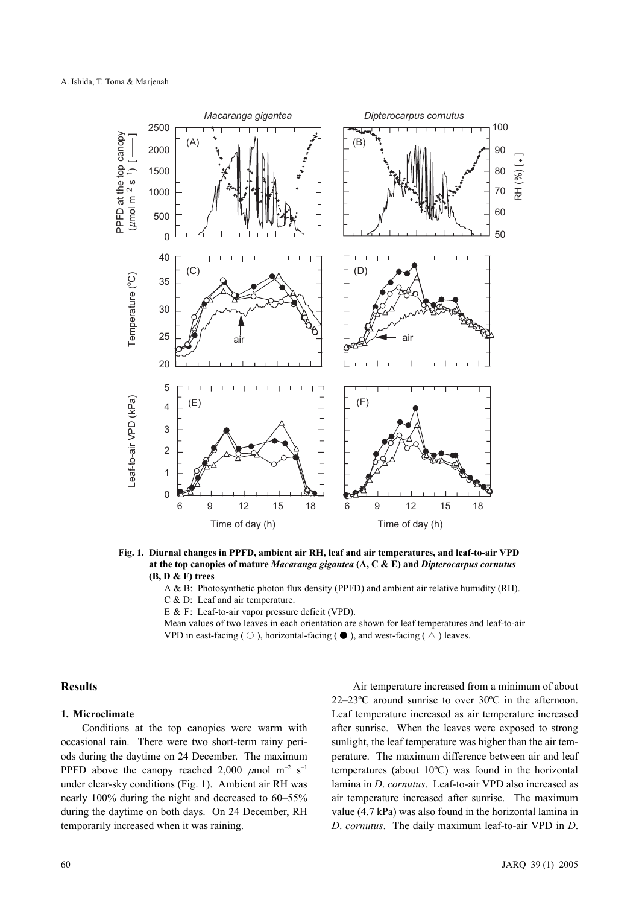

**Fig. 1. Diurnal changes in PPFD, ambient air RH, leaf and air temperatures, and leaf-to-air VPD at the top canopies of mature** *Macaranga gigantea* **(A, C & E) and** *Dipterocarpus cornutus* **(B, D & F) trees**

A & B: Photosynthetic photon flux density (PPFD) and ambient air relative humidity (RH).

C & D: Leaf and air temperature.

E & F: Leaf-to-air vapor pressure deficit (VPD).

Mean values of two leaves in each orientation are shown for leaf temperatures and leaf-to-air VPD in east-facing ( $\bigcirc$ ), horizontal-facing ( $\bullet$ ), and west-facing ( $\bigtriangleup$ ) leaves.

## **Results**

## **1. Microclimate**

Conditions at the top canopies were warm with occasional rain. There were two short-term rainy periods during the daytime on 24 December. The maximum PPFD above the canopy reached 2,000  $\mu$ mol m<sup>-2</sup> s<sup>-1</sup> under clear-sky conditions (Fig. 1). Ambient air RH was nearly 100% during the night and decreased to 60–55% during the daytime on both days. On 24 December, RH temporarily increased when it was raining.

Air temperature increased from a minimum of about 22–23ºC around sunrise to over 30ºC in the afternoon. Leaf temperature increased as air temperature increased after sunrise. When the leaves were exposed to strong sunlight, the leaf temperature was higher than the air temperature. The maximum difference between air and leaf temperatures (about 10ºC) was found in the horizontal lamina in *D*. *cornutus*. Leaf-to-air VPD also increased as air temperature increased after sunrise. The maximum value (4.7 kPa) was also found in the horizontal lamina in *D*. *cornutus*. The daily maximum leaf-to-air VPD in *D*.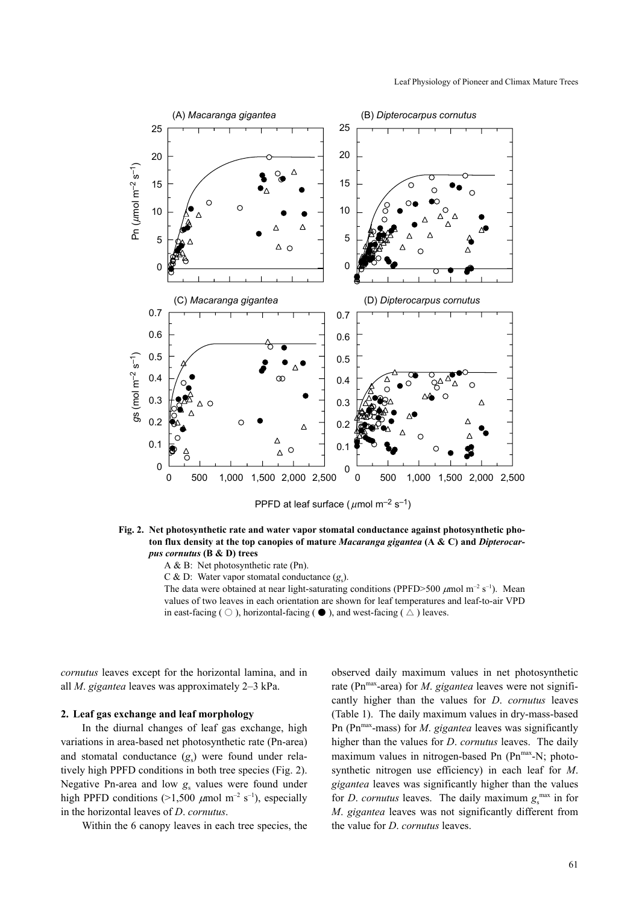

**Fig. 2. Net photosynthetic rate and water vapor stomatal conductance against photosynthetic photon flux density at the top canopies of mature** *Macaranga gigantea* **(A & C) and** *Dipterocarpus cornutus* **(B & D) trees**

A & B: Net photosynthetic rate (Pn).

C & D: Water vapor stomatal conductance (g<sub>s</sub>).

The data were obtained at near light-saturating conditions (PPFD>500  $\mu$ mol m<sup>-2</sup> s<sup>-1</sup>). Mean values of two leaves in each orientation are shown for leaf temperatures and leaf-to-air VPD in east-facing (  $\bigcirc$  ), horizontal-facing ( $\bigcirc$  ), and west-facing ( $\bigtriangleup$ ) leaves.

*cornutus* leaves except for the horizontal lamina, and in all *M*. *gigantea* leaves was approximately 2–3 kPa.

## **2. Leaf gas exchange and leaf morphology**

In the diurnal changes of leaf gas exchange, high variations in area-based net photosynthetic rate (Pn-area) and stomatal conductance (g<sub>s</sub>) were found under relatively high PPFD conditions in both tree species (Fig. 2). Negative Pn-area and low  $g_s$  values were found under high PPFD conditions (>1,500  $\mu$ mol m<sup>-2</sup> s<sup>-1</sup>), especially in the horizontal leaves of *D*. *cornutus*.

Within the 6 canopy leaves in each tree species, the

observed daily maximum values in net photosynthetic rate (Pn<sup>max</sup>-area) for *M. gigantea* leaves were not significantly higher than the values for *D*. *cornutus* leaves (Table 1). The daily maximum values in dry-mass-based Pn (Pn<sup>max</sup>-mass) for *M. gigantea* leaves was significantly higher than the values for *D*. *cornutus* leaves. The daily maximum values in nitrogen-based Pn (Pn<sup>max</sup>-N; photosynthetic nitrogen use efficiency) in each leaf for *M*. *gigantea* leaves was significantly higher than the values for *D. cornutus* leaves. The daily maximum  $g_s^{\text{max}}$  in for *M*. *gigantea* leaves was not significantly different from the value for *D*. *cornutus* leaves.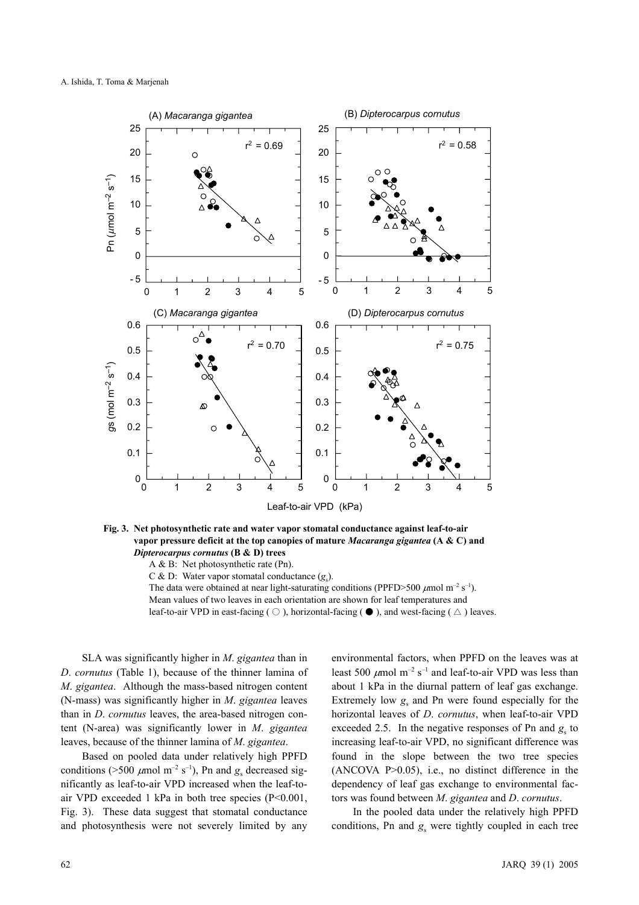

**Fig. 3. Net photosynthetic rate and water vapor stomatal conductance against leaf-to-air vapor pressure deficit at the top canopies of mature** *Macaranga gigantea* **(A & C) and**  *Dipterocarpus cornutus* **(B & D) trees** 

A & B: Net photosynthetic rate (Pn).

C & D: Water vapor stomatal conductance (g<sub>s</sub>).

The data were obtained at near light-saturating conditions (PPFD>500  $\mu$ mol m<sup>-2</sup> s<sup>-1</sup>). Mean values of two leaves in each orientation are shown for leaf temperatures and leaf-to-air VPD in east-facing ( $\bigcirc$ ), horizontal-facing ( $\bullet$ ), and west-facing ( $\bigtriangleup$ ) leaves.

SLA was significantly higher in *M*. *gigantea* than in *D*. *cornutus* (Table 1), because of the thinner lamina of *M*. *gigantea*. Although the mass-based nitrogen content (N-mass) was significantly higher in *M*. *gigantea* leaves than in *D*. *cornutus* leaves, the area-based nitrogen content (N-area) was significantly lower in *M*. *gigantea* leaves, because of the thinner lamina of *M*. *gigantea*.

Based on pooled data under relatively high PPFD conditions (>500  $\mu$ mol m<sup>-2</sup> s<sup>-1</sup>), Pn and  $g_s$  decreased significantly as leaf-to-air VPD increased when the leaf-toair VPD exceeded 1 kPa in both tree species  $(P<0.001$ , Fig. 3). These data suggest that stomatal conductance and photosynthesis were not severely limited by any environmental factors, when PPFD on the leaves was at least 500  $\mu$ mol m<sup>-2</sup> s<sup>-1</sup> and leaf-to-air VPD was less than about 1 kPa in the diurnal pattern of leaf gas exchange. Extremely low  $g_s$  and Pn were found especially for the horizontal leaves of *D*. *cornutus*, when leaf-to-air VPD exceeded 2.5. In the negative responses of Pn and  $g_s$  to increasing leaf-to-air VPD, no significant difference was found in the slope between the two tree species (ANCOVA P>0.05), i.e., no distinct difference in the dependency of leaf gas exchange to environmental factors was found between *M*. *gigantea* and *D*. *cornutus*.

In the pooled data under the relatively high PPFD conditions, Pn and  $g_s$  were tightly coupled in each tree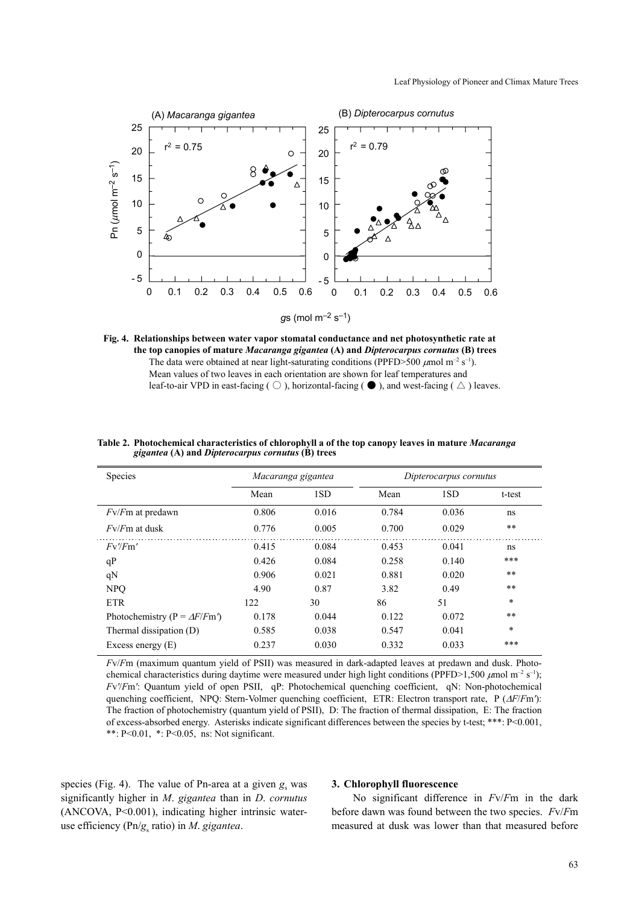



| Species                             | Macaranga gigantea |       | Dipterocarpus cornutus |       |        |
|-------------------------------------|--------------------|-------|------------------------|-------|--------|
|                                     | Mean               | 1SD   | Mean                   | 1SD   | t-test |
| $Fv$ / <i>F</i> m at predawn        | 0.806              | 0.016 | 0.784                  | 0.036 | ns     |
| $Fv/Fm$ at dusk                     | 0.776              | 0.005 | 0.700                  | 0.029 | $* *$  |
| Fv/Fm'                              | 0.415              | 0.084 | 0.453                  | 0.041 | ns     |
| qP                                  | 0.426              | 0.084 | 0.258                  | 0.140 | ***    |
| qN                                  | 0.906              | 0.021 | 0.881                  | 0.020 | **     |
| <b>NPO</b>                          | 4.90               | 0.87  | 3.82                   | 0.49  | **     |
| <b>ETR</b>                          | 122                | 30    | 86                     | 51    | $\ast$ |
| Photochemistry (P = $\Delta F/Fm$ ) | 0.178              | 0.044 | 0.122                  | 0.072 | **     |
| Thermal dissipation (D)             | 0.585              | 0.038 | 0.547                  | 0.041 | $\ast$ |
| Excess energy $(E)$                 | 0.237              | 0.030 | 0.332                  | 0.033 | $***$  |

**Table 2. Photochemical characteristics of chlorophyll a of the top canopy leaves in mature** *Macaranga gigantea* **(A) and** *Dipterocarpus cornutus* **(B) trees**

*F*v/*F*m (maximum quantum yield of PSII) was measured in dark-adapted leaves at predawn and dusk. Photochemical characteristics during daytime were measured under high light conditions (PPFD>1,500  $\mu$ mol m<sup>-2</sup> s<sup>-1</sup>); *F*v*'*/*F*m*'*: Quantum yield of open PSII, qP: Photochemical quenching coefficient, qN: Non-photochemical quenching coefficient, NPQ: Stern-Volmer quenching coefficient, ETR: Electron transport rate, P (∆*F*/*F*m*'*): The fraction of photochemistry (quantum yield of PSII), D: The fraction of thermal dissipation, E: The fraction of excess-absorbed energy. Asterisks indicate significant differences between the species by t-test; \*\*\*: P<0.001, \*\*:  $P < 0.01$ , \*:  $P < 0.05$ , ns: Not significant.

species (Fig. 4). The value of Pn-area at a given  $g_s$  was significantly higher in *M*. *gigantea* than in *D*. *cornutus* (ANCOVA, P<0.001), indicating higher intrinsic wateruse efficiency (Pn/*g*<sup>s</sup> ratio) in *M*. *gigantea*.

#### **3. Chlorophyll fluorescence**

No significant difference in *F*v/*F*m in the dark before dawn was found between the two species. *F*v/*F*m measured at dusk was lower than that measured before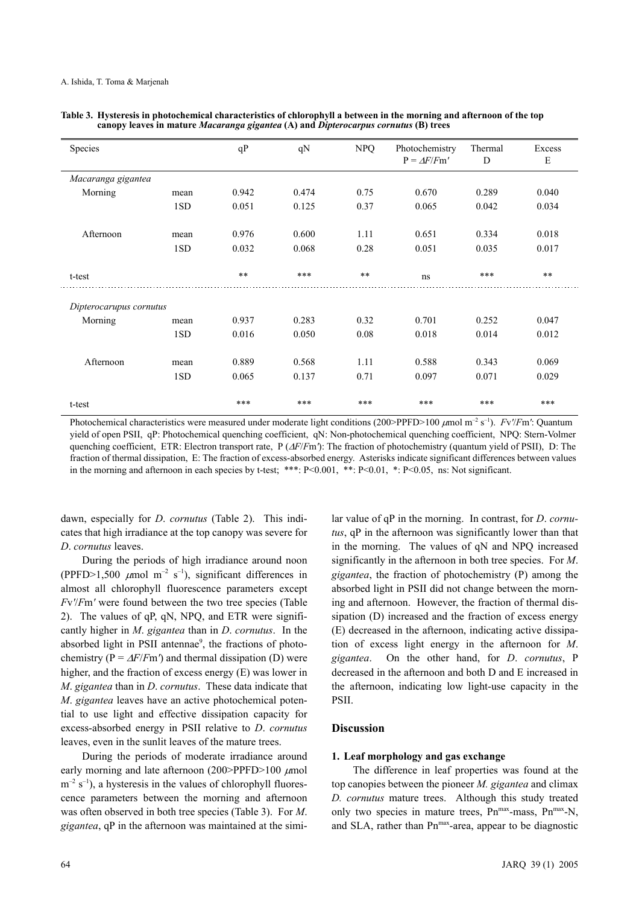| Species                 |      | qP    | qN    | <b>NPQ</b> | Photochemistry<br>$P = \Delta F/Fm'$ | Thermal<br>D | Excess<br>E |
|-------------------------|------|-------|-------|------------|--------------------------------------|--------------|-------------|
| Macaranga gigantea      |      |       |       |            |                                      |              |             |
| Morning                 | mean | 0.942 | 0.474 | 0.75       | 0.670                                | 0.289        | 0.040       |
|                         | 1SD  | 0.051 | 0.125 | 0.37       | 0.065                                | 0.042        | 0.034       |
| Afternoon               | mean | 0.976 | 0.600 | 1.11       | 0.651                                | 0.334        | 0.018       |
|                         | 1SD  | 0.032 | 0.068 | 0.28       | 0.051                                | 0.035        | 0.017       |
| t-test                  |      | $**$  | ***   | $**$       | ns                                   | ***          | $**$        |
| Dipterocarupus cornutus |      |       |       |            |                                      |              |             |
| Morning                 | mean | 0.937 | 0.283 | 0.32       | 0.701                                | 0.252        | 0.047       |
|                         | 1SD  | 0.016 | 0.050 | 0.08       | 0.018                                | 0.014        | 0.012       |
| Afternoon               | mean | 0.889 | 0.568 | 1.11       | 0.588                                | 0.343        | 0.069       |
|                         | 1SD  | 0.065 | 0.137 | 0.71       | 0.097                                | 0.071        | 0.029       |
| t-test                  |      | ***   | ***   | ***        | ***                                  | ***          | ***         |

| Table 3. Hysteresis in photochemical characteristics of chlorophyll a between in the morning and afternoon of the top |
|-----------------------------------------------------------------------------------------------------------------------|
| canopy leaves in mature <i>Macaranga gigantea</i> (A) and <i>Dipterocarpus cornutus</i> (B) trees                     |

Photochemical characteristics were measured under moderate light conditions (200>PPFD>100 µmol m–2 s–1). *F*v*'*/*F*m*'*: Quantum yield of open PSII, qP: Photochemical quenching coefficient, qN: Non-photochemical quenching coefficient, NPQ: Stern-Volmer quenching coefficient, ETR: Electron transport rate, P (∆*F*/*F*m*'*): The fraction of photochemistry (quantum yield of PSII), D: The fraction of thermal dissipation, E: The fraction of excess-absorbed energy. Asterisks indicate significant differences between values in the morning and afternoon in each species by t-test; \*\*\*:  $P \le 0.001$ , \*\*:  $P \le 0.01$ , \*:  $P \le 0.05$ , ns: Not significant.

dawn, especially for *D*. *cornutus* (Table 2). This indicates that high irradiance at the top canopy was severe for *D*. *cornutus* leaves.

During the periods of high irradiance around noon (PPFD>1,500  $\mu$ mol m<sup>-2</sup> s<sup>-1</sup>), significant differences in almost all chlorophyll fluorescence parameters except *F*v*'*/*F*m*'* were found between the two tree species (Table 2). The values of qP, qN, NPQ, and ETR were significantly higher in *M*. *gigantea* than in *D*. *cornutus*. In the absorbed light in PSII antennae<sup>9</sup>, the fractions of photochemistry ( $P = \Delta F / Fm'$ ) and thermal dissipation (D) were higher, and the fraction of excess energy (E) was lower in *M*. *gigantea* than in *D*. *cornutus*. These data indicate that *M*. *gigantea* leaves have an active photochemical potential to use light and effective dissipation capacity for excess-absorbed energy in PSII relative to *D*. *cornutus* leaves, even in the sunlit leaves of the mature trees.

During the periods of moderate irradiance around early morning and late afternoon (200>PPFD>100  $\mu$ mol  $m^{-2}$  s<sup>-1</sup>), a hysteresis in the values of chlorophyll fluorescence parameters between the morning and afternoon was often observed in both tree species (Table 3). For *M*. *gigantea*, qP in the afternoon was maintained at the simi*tus*, qP in the afternoon was significantly lower than that in the morning. The values of qN and NPQ increased significantly in the afternoon in both tree species. For *M*. *gigantea*, the fraction of photochemistry (P) among the absorbed light in PSII did not change between the morning and afternoon. However, the fraction of thermal dissipation (D) increased and the fraction of excess energy (E) decreased in the afternoon, indicating active dissipation of excess light energy in the afternoon for *M*. *gigantea*. On the other hand, for *D*. *cornutus*, P decreased in the afternoon and both D and E increased in the afternoon, indicating low light-use capacity in the PSII.

lar value of qP in the morning. In contrast, for *D*. *cornu-*

# **Discussion**

## **1. Leaf morphology and gas exchange**

The difference in leaf properties was found at the top canopies between the pioneer *M. gigantea* and climax *D. cornutus* mature trees. Although this study treated only two species in mature trees,  $Pn^{max}$ -mass,  $Pn^{max}$ -N, and SLA, rather than Pn<sup>max</sup>-area, appear to be diagnostic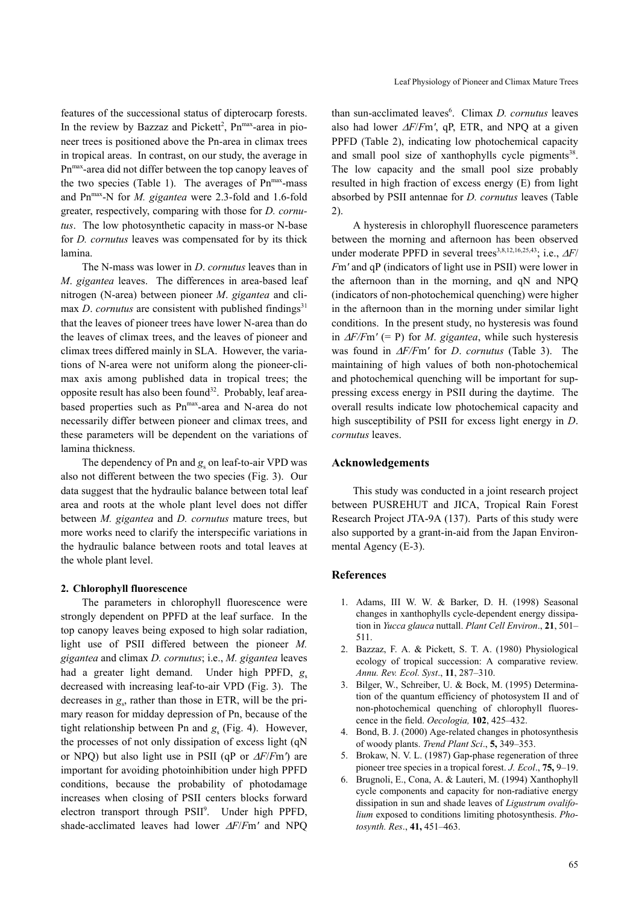features of the successional status of dipterocarp forests. In the review by Bazzaz and Pickett<sup>2</sup>, Pn<sup>max</sup>-area in pioneer trees is positioned above the Pn-area in climax trees in tropical areas. In contrast, on our study, the average in Pnmax-area did not differ between the top canopy leaves of the two species (Table 1). The averages of  $Pn^{max}$ -mass and Pn<sup>max</sup>-N for *M. gigantea* were 2.3-fold and 1.6-fold greater, respectively, comparing with those for *D. cornutus*. The low photosynthetic capacity in mass-or N-base for *D. cornutus* leaves was compensated for by its thick lamina.

The N-mass was lower in *D*. *cornutus* leaves than in *M*. *gigantea* leaves. The differences in area-based leaf nitrogen (N-area) between pioneer *M*. *gigantea* and climax *D. cornutus* are consistent with published findings<sup>31</sup> that the leaves of pioneer trees have lower N-area than do the leaves of climax trees, and the leaves of pioneer and climax trees differed mainly in SLA. However, the variations of N-area were not uniform along the pioneer-climax axis among published data in tropical trees; the opposite result has also been found<sup>32</sup>. Probably, leaf areabased properties such as Pn<sup>max</sup>-area and N-area do not necessarily differ between pioneer and climax trees, and these parameters will be dependent on the variations of lamina thickness.

The dependency of Pn and  $g_s$  on leaf-to-air VPD was also not different between the two species (Fig. 3). Our data suggest that the hydraulic balance between total leaf area and roots at the whole plant level does not differ between *M. gigantea* and *D. cornutus* mature trees, but more works need to clarify the interspecific variations in the hydraulic balance between roots and total leaves at the whole plant level.

## **2. Chlorophyll fluorescence**

The parameters in chlorophyll fluorescence were strongly dependent on PPFD at the leaf surface. In the top canopy leaves being exposed to high solar radiation, light use of PSII differed between the pioneer *M. gigantea* and climax *D. cornutus*; i.e., *M. gigantea* leaves had a greater light demand. Under high PPFD,  $g_s$ decreased with increasing leaf-to-air VPD (Fig. 3). The decreases in  $g_s$ , rather than those in ETR, will be the primary reason for midday depression of Pn, because of the tight relationship between Pn and  $g<sub>s</sub>$  (Fig. 4). However, the processes of not only dissipation of excess light (qN or NPQ) but also light use in PSII (qP or ∆*F*/*F*m*'*) are important for avoiding photoinhibition under high PPFD conditions, because the probability of photodamage increases when closing of PSII centers blocks forward electron transport through PSII<sup>9</sup>. Under high PPFD, shade-acclimated leaves had lower ∆*F*/*F*m*'* and NPQ

than sun-acclimated leaves<sup>6</sup>. Climax *D. cornutus* leaves also had lower ∆*F*/*F*m*'*, qP, ETR, and NPQ at a given PPFD (Table 2), indicating low photochemical capacity and small pool size of xanthophylls cycle pigments $38$ . The low capacity and the small pool size probably resulted in high fraction of excess energy (E) from light absorbed by PSII antennae for *D. cornutus* leaves (Table 2).

A hysteresis in chlorophyll fluorescence parameters between the morning and afternoon has been observed under moderate PPFD in several trees<sup>3,8,12,16,25,43</sup>; i.e., ∆*F*/ *F*m*'* and qP (indicators of light use in PSII) were lower in the afternoon than in the morning, and qN and NPQ (indicators of non-photochemical quenching) were higher in the afternoon than in the morning under similar light conditions. In the present study, no hysteresis was found in ∆*F/F*m*'* (= P) for *M*. *gigantea*, while such hysteresis was found in ∆*F/F*m*'* for *D*. *cornutus* (Table 3). The maintaining of high values of both non-photochemical and photochemical quenching will be important for suppressing excess energy in PSII during the daytime. The overall results indicate low photochemical capacity and high susceptibility of PSII for excess light energy in *D*. *cornutus* leaves.

## **Acknowledgements**

This study was conducted in a joint research project between PUSREHUT and JICA, Tropical Rain Forest Research Project JTA-9A (137). Parts of this study were also supported by a grant-in-aid from the Japan Environmental Agency (E-3).

## **References**

- 1. Adams, III W. W. & Barker, D. H. (1998) Seasonal changes in xanthophylls cycle-dependent energy dissipation in *Yucca glauca* nuttall. *Plant Cell Environ*., **21**, 501– 511.
- 2. Bazzaz, F. A. & Pickett, S. T. A. (1980) Physiological ecology of tropical succession: A comparative review. *Annu. Rev. Ecol. Syst*., **11**, 287–310.
- 3. Bilger, W., Schreiber, U. & Bock, M. (1995) Determination of the quantum efficiency of photosystem II and of non-photochemical quenching of chlorophyll fluorescence in the field. *Oecologia,* **102**, 425–432.
- 4. Bond, B. J. (2000) Age-related changes in photosynthesis of woody plants. *Trend Plant Sci*., **5,** 349–353.
- 5. Brokaw, N. V. L. (1987) Gap-phase regeneration of three pioneer tree species in a tropical forest. *J. Ecol*., **75,** 9–19.
- 6. Brugnoli, E., Cona, A. & Lauteri, M. (1994) Xanthophyll cycle components and capacity for non-radiative energy dissipation in sun and shade leaves of *Ligustrum ovalifolium* exposed to conditions limiting photosynthesis. *Photosynth. Res*., **41,** 451–463.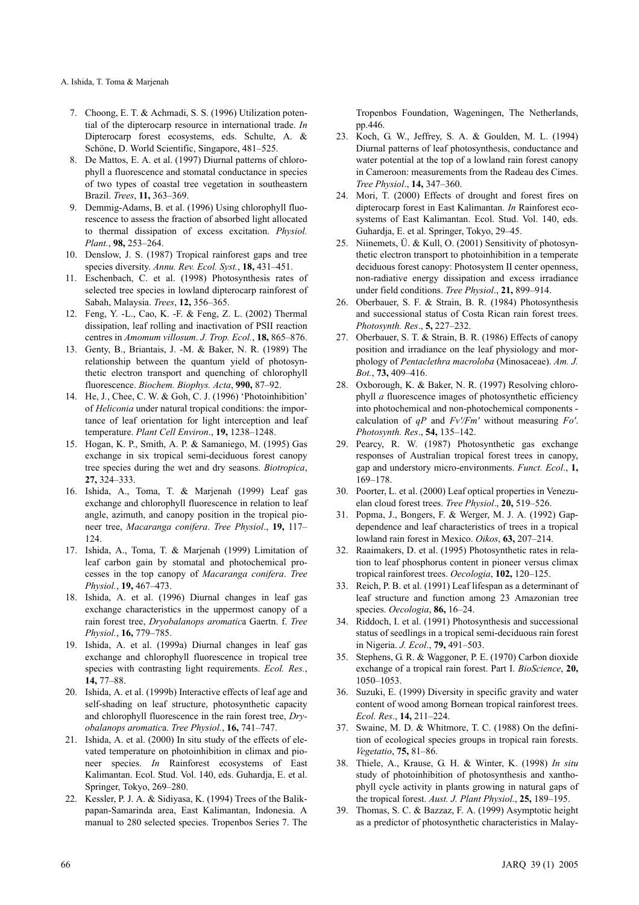A. Ishida, T. Toma & Marjenah

- 7. Choong, E. T. & Achmadi, S. S. (1996) Utilization potential of the dipterocarp resource in international trade. *In* Dipterocarp forest ecosystems, eds. Schulte, A. & Schöne, D. World Scientific, Singapore, 481–525.
- 8. De Mattos, E. A. et al. (1997) Diurnal patterns of chlorophyll a fluorescence and stomatal conductance in species of two types of coastal tree vegetation in southeastern Brazil. *Trees*, **11,** 363–369.
- 9. Demmig-Adams, B. et al. (1996) Using chlorophyll fluorescence to assess the fraction of absorbed light allocated to thermal dissipation of excess excitation. *Physiol. Plant.*, **98,** 253–264.
- 10. Denslow, J. S. (1987) Tropical rainforest gaps and tree species diversity. *Annu. Rev. Ecol. Syst.*, **18,** 431–451.
- 11. Eschenbach, C. et al. (1998) Photosynthesis rates of selected tree species in lowland dipterocarp rainforest of Sabah, Malaysia. *Trees*, **12,** 356–365.
- 12. Feng, Y. -L., Cao, K. -F. & Feng, Z. L. (2002) Thermal dissipation, leaf rolling and inactivation of PSII reaction centres in *Amomum villosum*. *J. Trop. Ecol.*, **18,** 865–876.
- 13. Genty, B., Briantais, J. -M. & Baker, N. R. (1989) The relationship between the quantum yield of photosynthetic electron transport and quenching of chlorophyll fluorescence. *Biochem. Biophys. Acta*, **990,** 87–92.
- 14. He, J*.*, Chee, C. W. & Goh, C. J. (1996) 'Photoinhibition' of *Heliconia* under natural tropical conditions: the importance of leaf orientation for light interception and leaf temperature. *Plant Cell Environ*., **19,** 1238–1248.
- 15. Hogan, K. P., Smith, A. P. & Samaniego, M. (1995) Gas exchange in six tropical semi-deciduous forest canopy tree species during the wet and dry seasons. *Biotropica*, **27,** 324–333.
- 16. Ishida, A., Toma, T. & Marjenah (1999) Leaf gas exchange and chlorophyll fluorescence in relation to leaf angle, azimuth, and canopy position in the tropical pioneer tree, *Macaranga conifera*. *Tree Physiol*., **19,** 117– 124.
- 17. Ishida, A., Toma, T. & Marjenah (1999) Limitation of leaf carbon gain by stomatal and photochemical processes in the top canopy of *Macaranga conifera*. *Tree Physiol.*, **19,** 467–473.
- 18. Ishida, A. et al. (1996) Diurnal changes in leaf gas exchange characteristics in the uppermost canopy of a rain forest tree, *Dryobalanops aromatic*a Gaertn. f. *Tree Physiol.*, **16,** 779–785.
- 19. Ishida, A. et al. (1999a) Diurnal changes in leaf gas exchange and chlorophyll fluorescence in tropical tree species with contrasting light requirements. *Ecol. Res.*, **14,** 77–88.
- 20. Ishida, A. et al. (1999b) Interactive effects of leaf age and self-shading on leaf structure, photosynthetic capacity and chlorophyll fluorescence in the rain forest tree, *Dryobalanops aromatic*a. *Tree Physiol.*, **16,** 741–747.
- 21. Ishida, A. et al. (2000) In situ study of the effects of elevated temperature on photoinhibition in climax and pioneer species. *In* Rainforest ecosystems of East Kalimantan. Ecol. Stud. Vol. 140, eds. Guhardja, E. et al. Springer, Tokyo, 269–280.
- 22. Kessler, P. J. A. & Sidiyasa, K. (1994) Trees of the Balikpapan-Samarinda area, East Kalimantan, Indonesia. A manual to 280 selected species. Tropenbos Series 7. The

Tropenbos Foundation, Wageningen, The Netherlands, pp.446.

- 23. Koch, G. W., Jeffrey, S. A. & Goulden, M. L. (1994) Diurnal patterns of leaf photosynthesis, conductance and water potential at the top of a lowland rain forest canopy in Cameroon: measurements from the Radeau des Cimes. *Tree Physiol*., **14,** 347–360.
- 24. Mori, T. (2000) Effects of drought and forest fires on dipterocarp forest in East Kalimantan. *In* Rainforest ecosystems of East Kalimantan. Ecol. Stud. Vol. 140, eds. Guhardja, E. et al. Springer, Tokyo, 29–45.
- 25. Niinemets, Ü. & Kull, O. (2001) Sensitivity of photosynthetic electron transport to photoinhibition in a temperate deciduous forest canopy: Photosystem II center openness, non-radiative energy dissipation and excess irradiance under field conditions. *Tree Physiol*., **21,** 899–914.
- 26. Oberbauer, S. F. & Strain, B. R. (1984) Photosynthesis and successional status of Costa Rican rain forest trees. *Photosynth. Res*., **5,** 227–232.
- 27. Oberbauer, S. T. & Strain, B. R. (1986) Effects of canopy position and irradiance on the leaf physiology and morphology of *Pentaclethra macroloba* (Minosaceae). *Am. J. Bot.*, **73,** 409–416.
- 28. Oxborough, K. & Baker, N. R. (1997) Resolving chlorophyll *a* fluorescence images of photosynthetic efficiency into photochemical and non-photochemical components calculation of *qP* and *Fv'/Fm'* without measuring *Fo'*. *Photosynth. Res*., **54,** 135–142.
- 29. Pearcy, R. W. (1987) Photosynthetic gas exchange responses of Australian tropical forest trees in canopy, gap and understory micro-environments. *Funct. Ecol*., **1,** 169–178.
- 30. Poorter, L. et al. (2000) Leaf optical properties in Venezuelan cloud forest trees. *Tree Physiol*., **20,** 519–526.
- 31. Popma, J., Bongers, F. & Werger, M. J. A. (1992) Gapdependence and leaf characteristics of trees in a tropical lowland rain forest in Mexico. *Oikos*, **63,** 207–214.
- 32. Raaimakers, D. et al. (1995) Photosynthetic rates in relation to leaf phosphorus content in pioneer versus climax tropical rainforest trees. *Oecologia*, **102,** 120–125.
- 33. Reich, P. B. et al. (1991) Leaf lifespan as a determinant of leaf structure and function among 23 Amazonian tree species. *Oecologia*, **86,** 16–24.
- 34. Riddoch, I. et al. (1991) Photosynthesis and successional status of seedlings in a tropical semi-deciduous rain forest in Nigeria. *J. Ecol*., **79,** 491–503.
- 35. Stephens, G. R. & Waggoner, P. E. (1970) Carbon dioxide exchange of a tropical rain forest. Part I. *BioScience*, **20,** 1050–1053.
- 36. Suzuki, E. (1999) Diversity in specific gravity and water content of wood among Bornean tropical rainforest trees. *Ecol. Res*., **14,** 211–224.
- 37. Swaine, M. D. & Whitmore, T. C. (1988) On the definition of ecological species groups in tropical rain forests. *Vegetatio*, **75,** 81–86.
- 38. Thiele, A., Krause, G. H. & Winter, K. (1998) *In situ* study of photoinhibition of photosynthesis and xanthophyll cycle activity in plants growing in natural gaps of the tropical forest. *Aust. J. Plant Physiol*., **25,** 189–195.
- 39. Thomas, S. C. & Bazzaz, F. A. (1999) Asymptotic height as a predictor of photosynthetic characteristics in Malay-